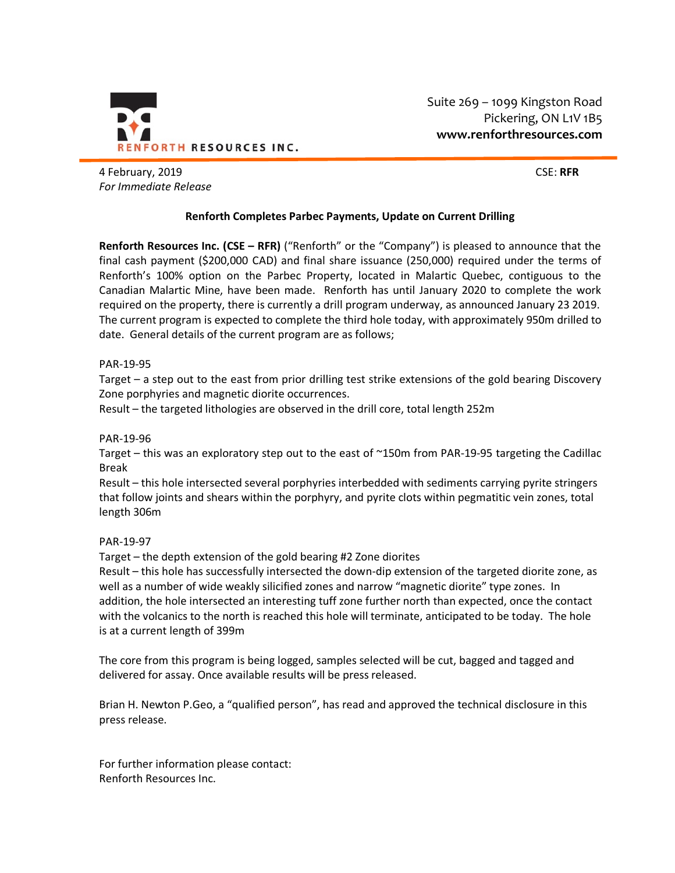

Suite 269 – 1099 Kingston Road Pickering, ON L1V 1B5 **www.renforthresources.com**

4 February, 2019 CSE: **RFR** *For Immediate Release*

# **Renforth Completes Parbec Payments, Update on Current Drilling**

**Renforth Resources Inc. (CSE – RFR)** ("Renforth" or the "Company") is pleased to announce that the final cash payment (\$200,000 CAD) and final share issuance (250,000) required under the terms of Renforth's 100% option on the Parbec Property, located in Malartic Quebec, contiguous to the Canadian Malartic Mine, have been made. Renforth has until January 2020 to complete the work required on the property, there is currently a drill program underway, as announced January 23 2019. The current program is expected to complete the third hole today, with approximately 950m drilled to date. General details of the current program are as follows;

## PAR-19-95

Target – a step out to the east from prior drilling test strike extensions of the gold bearing Discovery Zone porphyries and magnetic diorite occurrences.

Result – the targeted lithologies are observed in the drill core, total length 252m

## PAR-19-96

Target – this was an exploratory step out to the east of ~150m from PAR-19-95 targeting the Cadillac Break

Result – this hole intersected several porphyries interbedded with sediments carrying pyrite stringers that follow joints and shears within the porphyry, and pyrite clots within pegmatitic vein zones, total length 306m

## PAR-19-97

Target – the depth extension of the gold bearing #2 Zone diorites

Result – this hole has successfully intersected the down-dip extension of the targeted diorite zone, as well as a number of wide weakly silicified zones and narrow "magnetic diorite" type zones. In addition, the hole intersected an interesting tuff zone further north than expected, once the contact with the volcanics to the north is reached this hole will terminate, anticipated to be today. The hole is at a current length of 399m

The core from this program is being logged, samples selected will be cut, bagged and tagged and delivered for assay. Once available results will be press released.

Brian H. Newton P.Geo, a "qualified person", has read and approved the technical disclosure in this press release.

For further information please contact: Renforth Resources Inc.